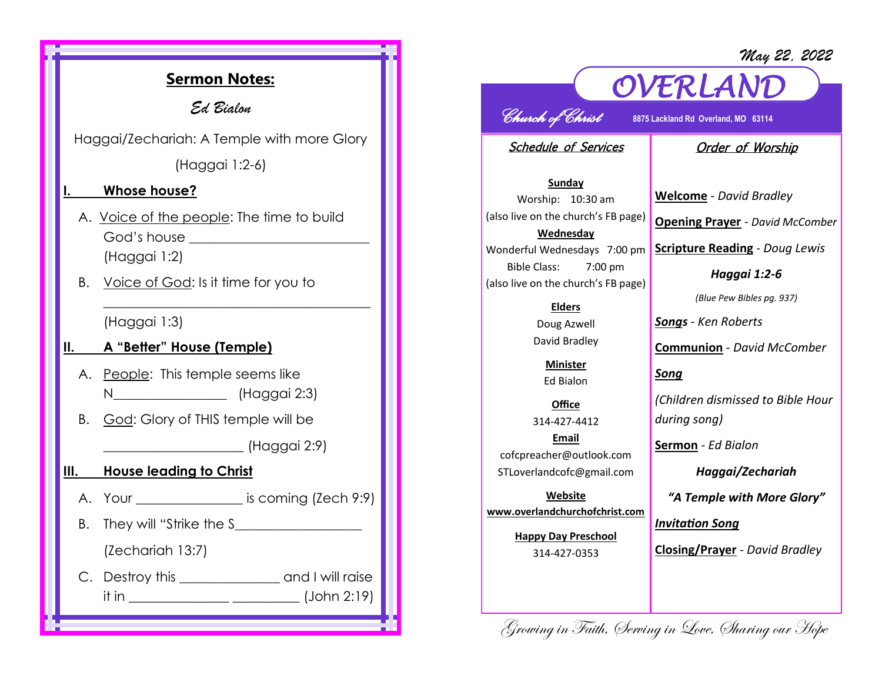*May 22, 2022*

## **Sermon Notes:** *Ed Bialon*  Haggai/Zechariah: A Temple with more Glory (Haggai 1:2-6) **I. Whose house?**  A. Voice of the people: The time to build God's house \_\_\_\_\_\_\_\_\_\_\_\_\_\_\_\_\_\_\_\_\_\_\_\_\_\_\_ (Haggai 1:2) B. Voice of God: Is it time for you to \_\_\_\_\_\_\_\_\_\_\_\_\_\_\_\_\_\_\_\_\_\_\_\_\_\_\_\_\_\_\_\_\_\_\_\_\_\_\_\_ (Haggai 1:3) **II. A "Better" House (Temple)** A. People: This temple seems like N\_\_\_\_\_\_\_\_\_\_\_\_\_\_\_\_\_ (Haggai 2:3) B. God: Glory of THIS temple will be \_\_\_\_\_\_\_\_\_\_\_\_\_\_\_\_\_\_\_\_\_ (Haggai 2:9) **III. House leading to Christ**  A. Your is coming (Zech 9:9) B. They will "Strike the S\_\_\_\_\_\_\_\_\_\_\_\_\_\_\_\_\_\_\_ (Zechariah 13:7) C. Destroy this \_\_\_\_\_\_\_\_\_\_\_\_\_\_\_\_\_ and I will raise it in \_\_\_\_\_\_\_\_\_\_\_\_\_\_\_ \_\_\_\_\_\_\_\_\_\_ (John 2:19)

# *OVERLAND*

*Church of Christ* **8875 Lackland Rd Overland, MO 63114** 

Schedule of Services

#### Order of Worship

**Sunday** Worship: 10:30 am (also live on the church's FB page) **Wednesday** Wonderful Wednesdays 7:00 pm Bible Class: 7:00 pm (also live on the church's FB page)

> **Elders** Doug Azwell David Bradley

**Minister** Ed Bialon

**Office** 314-427-4412 **Email** cofcpreacher@outlook.com STLoverlandcofc@gmail.com

**Website www.overlandchurchofchrist.com**

> **Happy Day Preschool** 314-427-0353

**Welcome** *- David Bradley* **Opening Prayer** *- David McComber*

**Scripture Reading** *- Doug Lewis* 

*Haggai 1:2-6*

*(Blue Pew Bibles pg. 937)*

*Songs - Ken Roberts*

**Communion** *- David McComber*

*Song*

*(Children dismissed to Bible Hour during song)*

**Sermon** *- Ed Bialon* 

*Haggai/Zechariah*

*"A Temple with More Glory"*

*Invitation Song*

**Closing/Prayer** *- David Bradley*

Growing in Faith, Serving in Love, Sharing our Hope